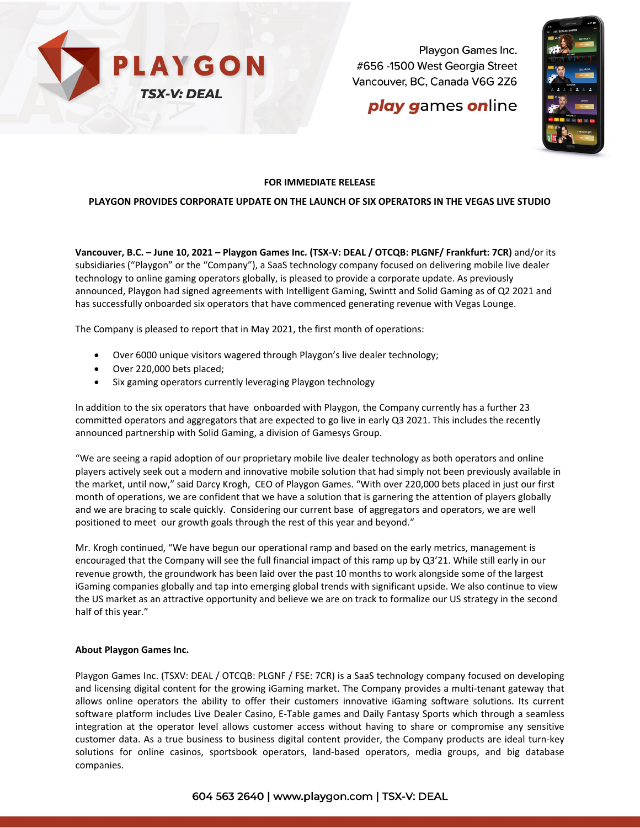

Playgon Games Inc. #656 -1500 West Georgia Street Vancouver, BC, Canada V6G 2Z6

# **play games online**



## **FOR IMMEDIATE RELEASE**

### **PLAYGON PROVIDES CORPORATE UPDATE ON THE LAUNCH OF SIX OPERATORS IN THE VEGAS LIVE STUDIO**

**Vancouver, B.C. – June 10, 2021 – Playgon Games Inc. (TSX-V: DEAL / OTCQB: PLGNF/ Frankfurt: 7CR)** and/or its subsidiaries ("Playgon" or the "Company"), a SaaS technology company focused on delivering mobile live dealer technology to online gaming operators globally, is pleased to provide a corporate update. As previously announced, Playgon had signed agreements with Intelligent Gaming, Swintt and Solid Gaming as of Q2 2021 and has successfully onboarded six operators that have commenced generating revenue with Vegas Lounge.

The Company is pleased to report that in May 2021, the first month of operations:

- Over 6000 unique visitors wagered through Playgon's live dealer technology;
- Over 220,000 bets placed;
- Six gaming operators currently leveraging Playgon technology

In addition to the six operators that have onboarded with Playgon, the Company currently has a further 23 committed operators and aggregators that are expected to go live in early Q3 2021. This includes the recently announced partnership with Solid Gaming, a division of Gamesys Group.

"We are seeing a rapid adoption of our proprietary mobile live dealer technology as both operators and online players actively seek out a modern and innovative mobile solution that had simply not been previously available in the market, until now," said Darcy Krogh, CEO of Playgon Games. "With over 220,000 bets placed in just our first month of operations, we are confident that we have a solution that is garnering the attention of players globally and we are bracing to scale quickly. Considering our current base of aggregators and operators, we are well positioned to meet our growth goals through the rest of this year and beyond."

Mr. Krogh continued, "We have begun our operational ramp and based on the early metrics, management is encouraged that the Company will see the full financial impact of this ramp up by Q3'21. While still early in our revenue growth, the groundwork has been laid over the past 10 months to work alongside some of the largest iGaming companies globally and tap into emerging global trends with significant upside. We also continue to view the US market as an attractive opportunity and believe we are on track to formalize our US strategy in the second half of this year."

#### **About Playgon Games Inc.**

Playgon Games Inc. (TSXV: DEAL / OTCQB: PLGNF / FSE: 7CR) is a SaaS technology company focused on developing and licensing digital content for the growing iGaming market. The Company provides a multi-tenant gateway that allows online operators the ability to offer their customers innovative iGaming software solutions. Its current software platform includes Live Dealer Casino, E-Table games and Daily Fantasy Sports which through a seamless integration at the operator level allows customer access without having to share or compromise any sensitive customer data. As a true business to business digital content provider, the Company products are ideal turn-key solutions for online casinos, sportsbook operators, land-based operators, media groups, and big database companies.

## 604 563 2640 | www.playgon.com | TSX-V: DEAL